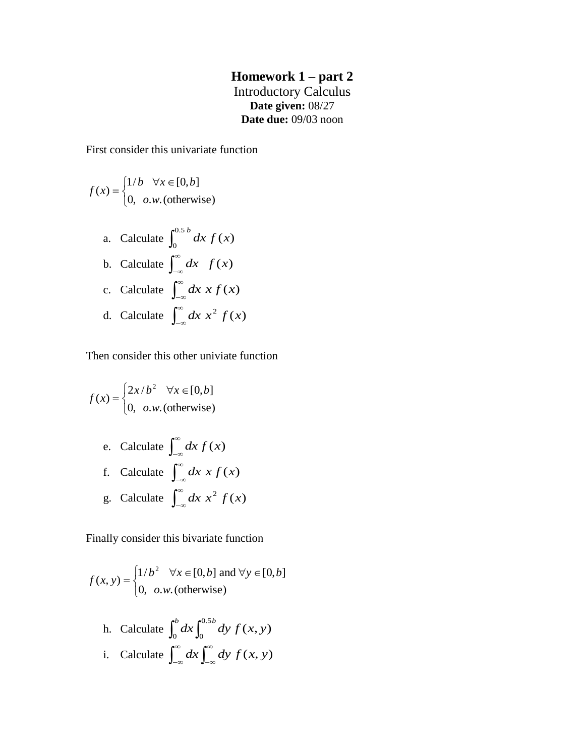## **Homework 1 – part 2** Introductory Calculus **Date given:** 08/27 **Date due:** 09/03 noon

First consider this univariate function

$$
f(x) = \begin{cases} 1/b & \forall x \in [0, b] \\ 0, & o.w. \text{ (otherwise)} \end{cases}
$$

a. Calculate 
$$
\int_0^{0.5 b} dx f(x)
$$
  
\nb. Calculate  $\int_{-\infty}^{\infty} dx f(x)$   
\nc. Calculate  $\int_{-\infty}^{\infty} dx x f(x)$   
\nd. Calculate  $\int_{-\infty}^{\infty} dx x^2 f(x)$ 

Then consider this other univiate function

$$
f(x) = \begin{cases} 2x/b^2 & \forall x \in [0, b] \\ 0, & \text{o.w. (otherwise)} \end{cases}
$$

e. Calculate 
$$
\int_{-\infty}^{\infty} dx f(x)
$$
  
f. Calculate  $\int_{-\infty}^{\infty} dx x f(x)$   
g. Calculate  $\int_{-\infty}^{\infty} dx x^2 f(x)$ 

Finally consider this bivariate function

$$
f(x, y) = \begin{cases} 1/b^2 & \forall x \in [0, b] \text{ and } \forall y \in [0, b] \\ 0, & \text{o.w. (otherwise)} \end{cases}
$$

h. Calculate 
$$
\int_0^b dx \int_0^{0.5b} dy f(x, y)
$$
  
i. Calculate  $\int_{-\infty}^{\infty} dx \int_{-\infty}^{\infty} dy f(x, y)$